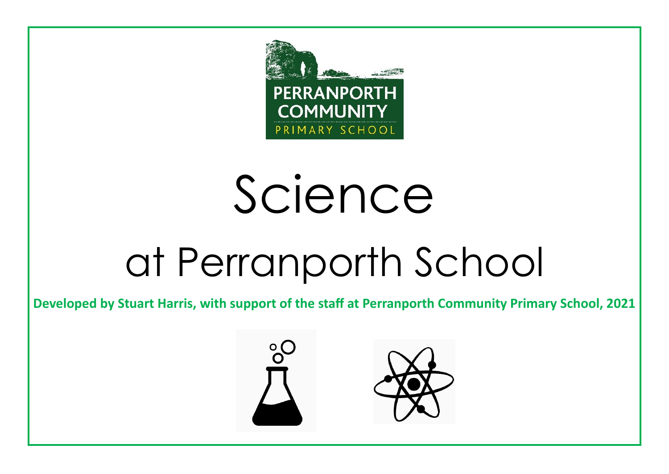

# Science

# at Perranporth School

**Developed by Stuart Harris, with support of the staff at Perranporth Community Primary School, 2021**

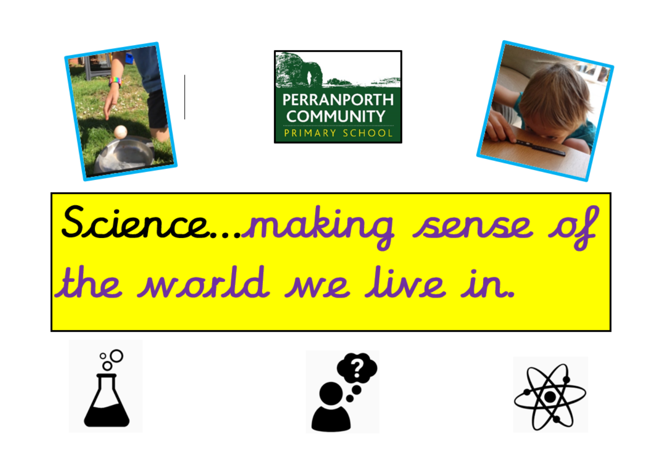

# Science...making sense of the world we live in.

ွဝ



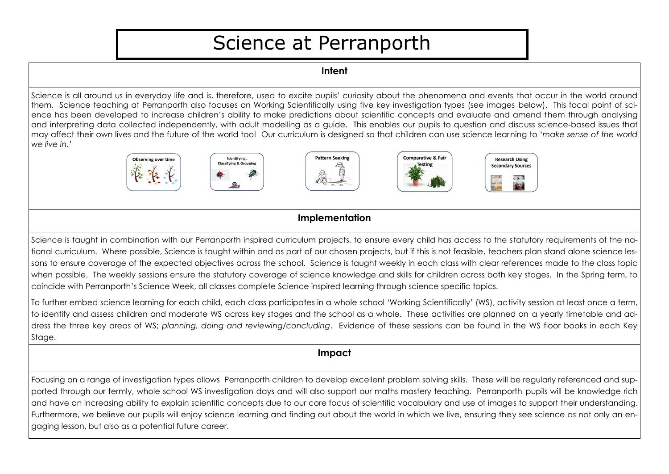# Science at Perranporth

#### **Intent**

Science is all around us in everyday life and is, therefore, used to excite pupils' curiosity about the phenomena and events that occur in the world around them. Science teaching at Perranporth also focuses on Working Scientifically using five key investigation types (see images below). This focal point of science has been developed to increase children's ability to make predictions about scientific concepts and evaluate and amend them through analysing and interpreting data collected independently, with adult modelling as a guide. This enables our pupils to question and discuss science-based issues that may affect their own lives and the future of the world too! Our curriculum is designed so that children can use science learning to '*make sense of the world we live in.'*











#### **Implementation**

Science is taught in combination with our Perranporth inspired curriculum projects, to ensure every child has access to the statutory requirements of the national curriculum. Where possible, Science is taught within and as part of our chosen projects, but if this is not feasible, teachers plan stand alone science lessons to ensure coverage of the expected objectives across the school. Science is taught weekly in each class with clear references made to the class topic when possible. The weekly sessions ensure the statutory coverage of science knowledge and skills for children across both key stages. In the Spring term, to coincide with Perranporth's Science Week, all classes complete Science inspired learning through science specific topics.

To further embed science learning for each child, each class participates in a whole school 'Working Scientifically' (WS), activity session at least once a term, to identify and assess children and moderate WS across key stages and the school as a whole. These activities are planned on a yearly timetable and address the three key areas of WS; *planning, doing and reviewing/concluding*. Evidence of these sessions can be found in the WS floor books in each Key Stage.

#### **Impact**

Focusing on a range of investigation types allows Perranporth children to develop excellent problem solving skills. These will be regularly referenced and supported through our termly, whole school WS investigation days and will also support our maths mastery teaching. Perranporth pupils will be knowledge rich and have an increasing ability to explain scientific concepts due to our core focus of scientific vocabulary and use of images to support their understanding. Furthermore, we believe our pupils will enjoy science learning and finding out about the world in which we live, ensuring they see science as not only an engaging lesson, but also as a potential future career.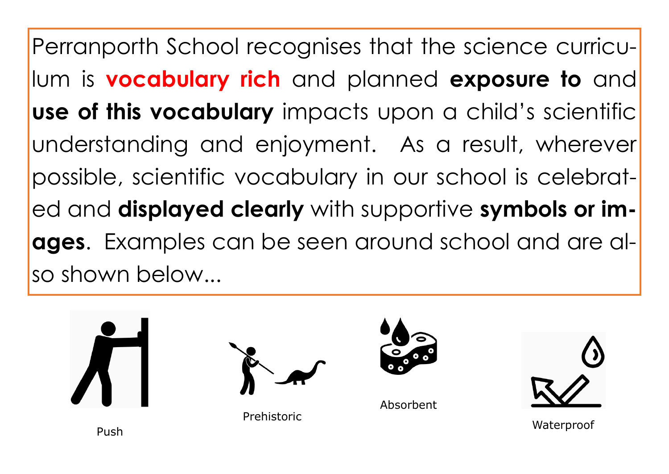Perranporth School recognises that the science curriculum is **vocabulary rich** and planned **exposure to** and **use of this vocabulary** impacts upon a child's scientific understanding and enjoyment. As a result, wherever possible, scientific vocabulary in our school is celebrated and **displayed clearly** with supportive **symbols or images**. Examples can be seen around school and are also shown below...

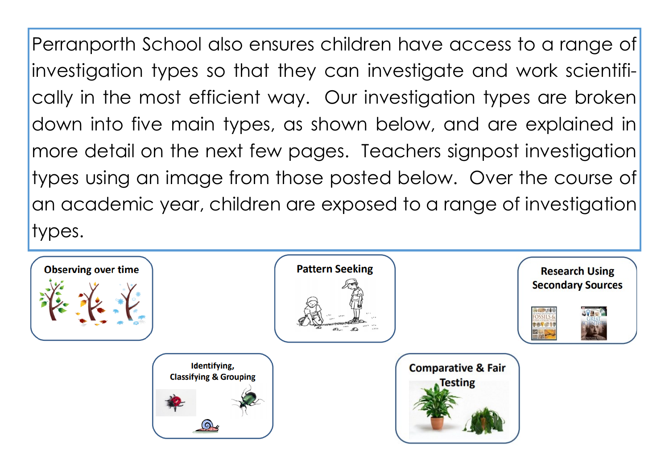Perranporth School also ensures children have access to a range of investigation types so that they can investigate and work scientifically in the most efficient way. Our investigation types are broken down into five main types, as shown below, and are explained in more detail on the next few pages. Teachers signpost investigation types using an image from those posted below. Over the course of an academic year, children are exposed to a range of investigation types.

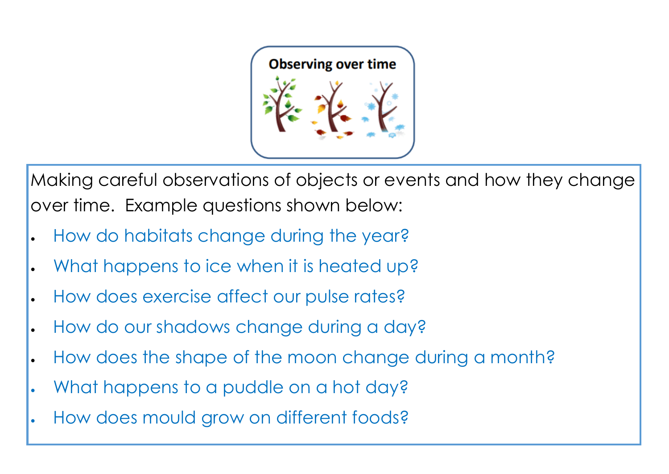

Making careful observations of objects or events and how they change over time. Example questions shown below:

- How do habitats change during the year?
- What happens to ice when it is heated up?
- How does exercise affect our pulse rates?
- How do our shadows change during a day?
- How does the shape of the moon change during a month?
- What happens to a puddle on a hot day?
- How does mould grow on different foods?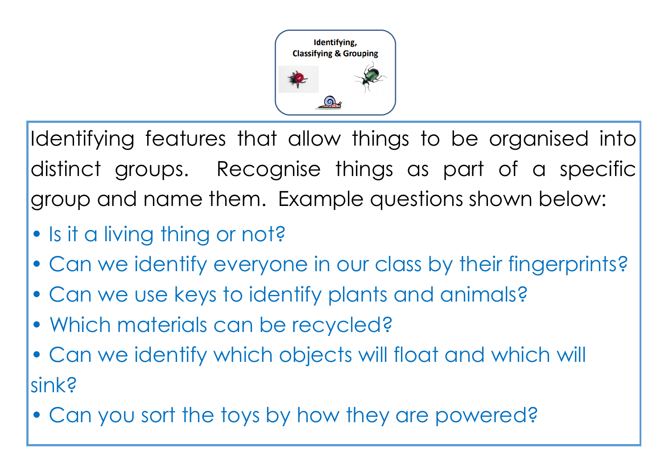

Identifying features that allow things to be organised into distinct groups. Recognise things as part of a specific group and name them. Example questions shown below:

- Is it a living thing or not?
- Can we identify everyone in our class by their fingerprints?
- Can we use keys to identify plants and animals?
- Which materials can be recycled?
- Can we identify which objects will float and which will sink?
- Can you sort the toys by how they are powered?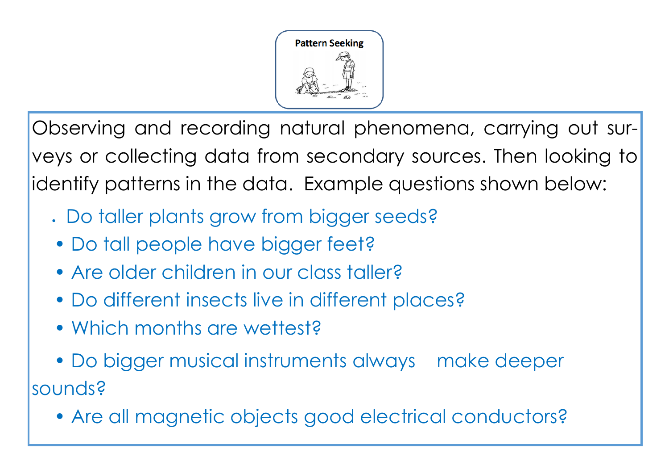

Observing and recording natural phenomena, carrying out surveys or collecting data from secondary sources. Then looking to identify patterns in the data. Example questions shown below:

- Do taller plants grow from bigger seeds?
- Do tall people have bigger feet?
- Are older children in our class taller?
- Do different insects live in different places?
- Which months are wettest?
- Do bigger musical instruments always make deeper sounds?
	- Are all magnetic objects good electrical conductors?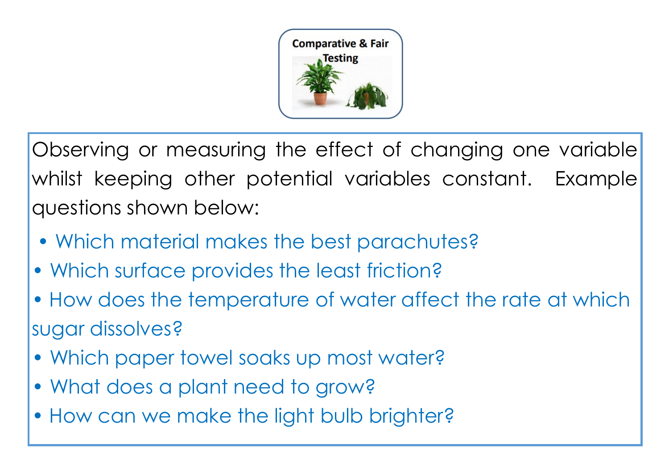

Observing or measuring the effect of changing one variable whilst keeping other potential variables constant. Example questions shown below:

- Which material makes the best parachutes?
- Which surface provides the least friction?
- How does the temperature of water affect the rate at which sugar dissolves?
- Which paper towel soaks up most water?
- What does a plant need to grow?
- How can we make the light bulb brighter?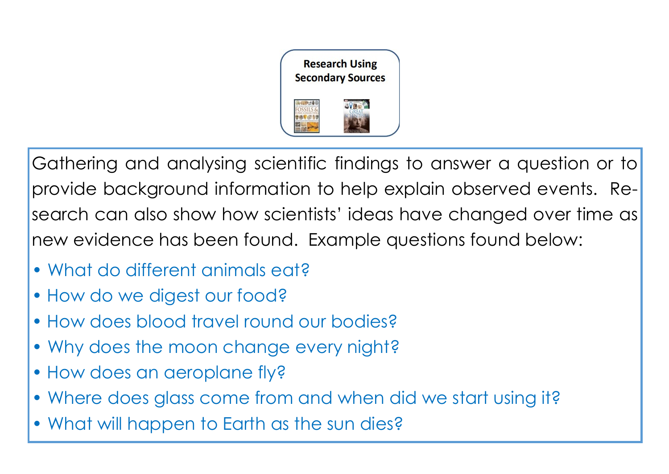

Gathering and analysing scientific findings to answer a question or to provide background information to help explain observed events. Research can also show how scientists' ideas have changed over time as new evidence has been found. Example questions found below:

- What do different animals eat?
- How do we digest our food?
- How does blood travel round our bodies?
- Why does the moon change every night?
- How does an aeroplane fly?
- Where does glass come from and when did we start using it?
- What will happen to Earth as the sun dies?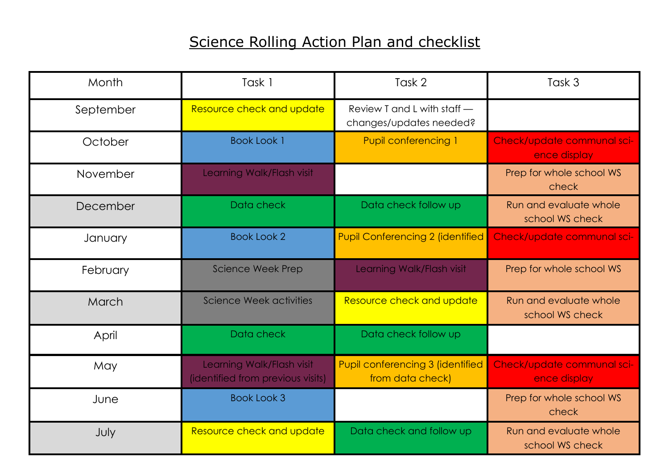# Science Rolling Action Plan and checklist

| Month     | Task 1                                                         | Task 2                                                 | Task 3                                     |
|-----------|----------------------------------------------------------------|--------------------------------------------------------|--------------------------------------------|
| September | Resource check and update                                      | Review T and L with staff -<br>changes/updates needed? |                                            |
| October   | <b>Book Look 1</b>                                             | <b>Pupil conferencing 1</b>                            | Check/update communal sci-<br>ence display |
| November  | Learning Walk/Flash visit                                      |                                                        | Prep for whole school WS<br>check          |
| December  | Data check                                                     | Data check follow up                                   | Run and evaluate whole<br>school WS check  |
| January   | <b>Book Look 2</b>                                             | <b>Pupil Conferencing 2 (identified</b>                | Check/update communal sci-                 |
| February  | <b>Science Week Prep</b>                                       | Learning Walk/Flash visit                              | Prep for whole school WS                   |
| March     | <b>Science Week activities</b>                                 | Resource check and update                              | Run and evaluate whole<br>school WS check  |
| April     | Data check                                                     | Data check follow up                                   |                                            |
| May       | Learning Walk/Flash visit<br>(identified from previous visits) | Pupil conferencing 3 (identified<br>from data check)   | Check/update communal sci-<br>ence display |
| June      | <b>Book Look 3</b>                                             |                                                        | Prep for whole school WS<br>check          |
| July      | Resource check and update                                      | Data check and follow up                               | Run and evaluate whole<br>school WS check  |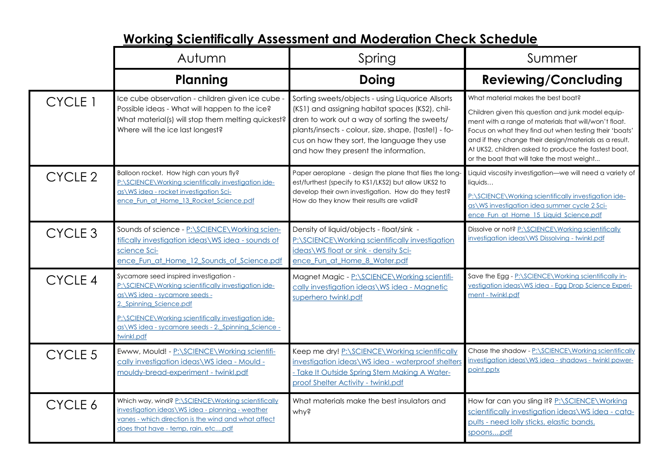### **Working Scientifically Assessment and Moderation Check Schedule**

|                    | Autumn                                                                                                                                                                                                                                                                                  | Spring                                                                                                                                                                                                                                                                                                | Summer                                                                                                                                                                                                                                                                                                                                                                      |
|--------------------|-----------------------------------------------------------------------------------------------------------------------------------------------------------------------------------------------------------------------------------------------------------------------------------------|-------------------------------------------------------------------------------------------------------------------------------------------------------------------------------------------------------------------------------------------------------------------------------------------------------|-----------------------------------------------------------------------------------------------------------------------------------------------------------------------------------------------------------------------------------------------------------------------------------------------------------------------------------------------------------------------------|
|                    | Planning                                                                                                                                                                                                                                                                                | <b>Doing</b>                                                                                                                                                                                                                                                                                          | <b>Reviewing/Concluding</b>                                                                                                                                                                                                                                                                                                                                                 |
| <b>CYCLE 1</b>     | Ice cube observation - children given ice cube -<br>Possible ideas - What will happen to the ice?<br>What material(s) will stop them melting quickest?<br>Where will the ice last longest?                                                                                              | Sorting sweets/objects - using Liquorice Allsorts<br>(KS1) and assigning habitat spaces (KS2), chil-<br>dren to work out a way of sorting the sweets/<br>plants/insects - colour, size, shape, (taste!) - fo-<br>cus on how they sort, the language they use<br>and how they present the information. | What material makes the best boat?<br>Children given this question and junk model equip-<br>ment with a range of materials that will/won't float.<br>Focus on what they find out when testing their 'boats'<br>and if they change their design/materials as a result.<br>At UKS2, children asked to produce the fastest boat,<br>or the boat that will take the most weight |
| CYCLE 2            | Balloon rocket. How high can yours fly?<br>P:\SCIENCE\Working scientifically investigation ide-<br>as\WS idea - rocket investigation Sci-<br>ence Fun at Home 13 Rocket Science.pdf                                                                                                     | Paper aeroplane - design the plane that flies the long-<br>est/furthest (specify to KS1/LKS2) but allow UKS2 to<br>develop their own investigation. How do they test?<br>How do they know their results are valid?                                                                                    | Liquid viscosity investigation-we will need a variety of<br>liquids<br>P:\SCIENCE\Working scientifically investigation ide-<br>as\WS investigation idea summer cycle 2 Sci-<br>ence Fun at Home 15 Liquid Science.pdf                                                                                                                                                       |
| CYCLE <sub>3</sub> | Sounds of science - P:\SCIENCE\Working scien-<br>tifically investigation ideas\WS idea - sounds of<br>science Sci-<br>ence Fun at Home 12 Sounds of Science.pdf                                                                                                                         | Density of liquid/objects - float/sink -<br>P:\SCIENCE\Working scientifically investigation<br>ideas\WS float or sink - density Sci-<br>ence Fun at Home 8 Water.pdf                                                                                                                                  | Dissolve or not? P:\SCIENCE\Working scientifically<br>investigation ideas\WS Dissolving - twinkl.pdf                                                                                                                                                                                                                                                                        |
| CYCLE 4            | Sycamore seed inspired investigation -<br>P:\SCIENCE\Working scientifically investigation ide-<br>as\WS idea - sycamore seeds -<br>2. Spinning Science.pdf<br>P:\SCIENCE\Working scientifically investigation ide-<br>as\WS idea - sycamore seeds - 2. Spinning Science -<br>twinkl.pdf | Magnet Magic - P:\SCIENCE\Working scientifi-<br>cally investigation ideas\WS idea - Magnetic<br>superhero twinkl.pdf                                                                                                                                                                                  | Save the Egg - P:\SCIENCE\Working scientifically in-<br>vestigation ideas\WS idea - Egg Drop Science Experi-<br>ment - twinkl.pdf                                                                                                                                                                                                                                           |
| <b>CYCLE 5</b>     | Ewww, Mould! - P:\SCIENCE\Working scientifi-<br>cally investigation ideas\WS idea - Mould -<br>mouldy-bread-experiment - twinkl.pdf                                                                                                                                                     | Keep me dry! P:\SCIENCE\Working scientifically<br>investigation ideas\WS idea - waterproof shelters<br>- Take It Outside Spring Stem Making A Water-<br>proof Shelter Activity - twinkl.pdf                                                                                                           | Chase the shadow - P:\SCIENCE\Working scientifically<br>investigation ideas\WS idea - shadows - twinkl power-<br>point.pptx                                                                                                                                                                                                                                                 |
| CYCLE 6            | Which way, wind? P:\SCIENCE\Working scientifically<br>investigation ideas\WS idea - planning - weather<br>vanes - which direction is the wind and what affect<br>does that have - temp, rain, etcpdf                                                                                    | What materials make the best insulators and<br>why?                                                                                                                                                                                                                                                   | How far can you sling it? P:\SCIENCE\Working<br>scientifically investigation ideas\WS idea - cata-<br>pults - need lolly sticks, elastic bands,<br>spoonspdf                                                                                                                                                                                                                |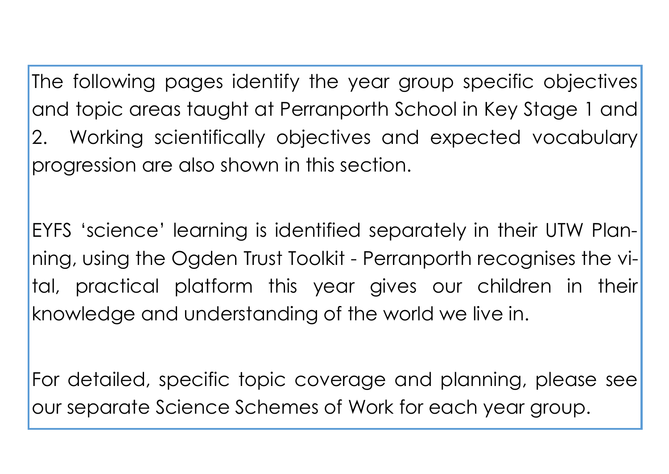The following pages identify the year group specific objectives and topic areas taught at Perranporth School in Key Stage 1 and 2. Working scientifically objectives and expected vocabulary progression are also shown in this section.

EYFS 'science' learning is identified separately in their UTW Planning, using the Ogden Trust Toolkit - Perranporth recognises the vital, practical platform this year gives our children in their knowledge and understanding of the world we live in.

For detailed, specific topic coverage and planning, please see our separate Science Schemes of Work for each year group.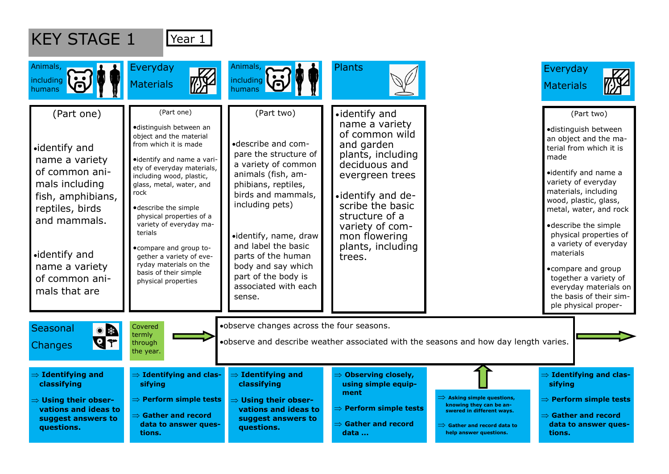| <b>KEY STAGE 1</b>                                                                                                                                                                                              | Year 1                                                                                                                                                                                                                                                                                                                                                                                                                                           |                                                                                                                                                                                                                                                                                                                             |                                                                                                                                                                                                                                                        |                                                                                                                                                                     |                                                                                                                                                                                                                                                                                                                                                                                                                                             |
|-----------------------------------------------------------------------------------------------------------------------------------------------------------------------------------------------------------------|--------------------------------------------------------------------------------------------------------------------------------------------------------------------------------------------------------------------------------------------------------------------------------------------------------------------------------------------------------------------------------------------------------------------------------------------------|-----------------------------------------------------------------------------------------------------------------------------------------------------------------------------------------------------------------------------------------------------------------------------------------------------------------------------|--------------------------------------------------------------------------------------------------------------------------------------------------------------------------------------------------------------------------------------------------------|---------------------------------------------------------------------------------------------------------------------------------------------------------------------|---------------------------------------------------------------------------------------------------------------------------------------------------------------------------------------------------------------------------------------------------------------------------------------------------------------------------------------------------------------------------------------------------------------------------------------------|
| Animals,<br>including <b>  9.</b><br>humans                                                                                                                                                                     | Everyday<br><b>Materials</b>                                                                                                                                                                                                                                                                                                                                                                                                                     | Animals,<br>including <b>6</b>                                                                                                                                                                                                                                                                                              | <b>Plants</b>                                                                                                                                                                                                                                          |                                                                                                                                                                     | Everyday<br><b>Materials</b>                                                                                                                                                                                                                                                                                                                                                                                                                |
| (Part one)<br>•identify and<br>name a variety<br>of common ani-<br>mals including<br>fish, amphibians,<br>reptiles, birds<br>and mammals.<br>•identify and<br>name a variety<br>of common ani-<br>mals that are | (Part one)<br>·distinguish between an<br>object and the material<br>from which it is made<br>•identify and name a vari-<br>ety of everyday materials,<br>including wood, plastic,<br>glass, metal, water, and<br>rock<br>·describe the simple<br>physical properties of a<br>variety of everyday ma-<br>terials<br>• compare and group to-<br>gether a variety of eve-<br>ryday materials on the<br>basis of their simple<br>physical properties | (Part two)<br>•describe and com-<br>pare the structure of<br>a variety of common<br>animals (fish, am-<br>phibians, reptiles,<br>birds and mammals,<br>including pets)<br>•identify, name, draw<br>and label the basic<br>parts of the human<br>body and say which<br>part of the body is<br>associated with each<br>sense. | •identify and<br>name a variety<br>of common wild<br>and garden<br>plants, including<br>deciduous and<br>evergreen trees<br>-identify and de-<br>scribe the basic<br>structure of a<br>variety of com-<br>mon flowering<br>plants, including<br>trees. |                                                                                                                                                                     | (Part two)<br>·distinguish between<br>an object and the ma-<br>terial from which it is<br>made<br>•identify and name a<br>variety of everyday<br>materials, including<br>wood, plastic, glass,<br>metal, water, and rock<br>•describe the simple<br>physical properties of<br>a variety of everyday<br>materials<br>•compare and group<br>together a variety of<br>everyday materials on<br>the basis of their sim-<br>ple physical proper- |
| Seasonal<br>3 案<br>$Q_T$<br>Changes                                                                                                                                                                             | Covered<br>termly<br>through<br>the year.                                                                                                                                                                                                                                                                                                                                                                                                        | .observe changes across the four seasons.                                                                                                                                                                                                                                                                                   |                                                                                                                                                                                                                                                        | .observe and describe weather associated with the seasons and how day length varies.                                                                                |                                                                                                                                                                                                                                                                                                                                                                                                                                             |
| $\Rightarrow$ Identifying and<br>classifying<br>$\Rightarrow$ Using their obser-<br>vations and ideas to<br>suggest answers to<br>questions.                                                                    | $\Rightarrow$ Identifying and clas-<br>sifying<br>$\Rightarrow$ Perform simple tests<br>$\Rightarrow$ Gather and record<br>data to answer ques-<br>tions.                                                                                                                                                                                                                                                                                        | $\Rightarrow$ Identifying and<br>classifying<br>$\Rightarrow$ Using their obser-<br>vations and ideas to<br>suggest answers to<br>questions.                                                                                                                                                                                | $\Rightarrow$ Observing closely,<br>using simple equip-<br>ment<br>$\Rightarrow$ Perform simple tests<br>$\Rightarrow$ Gather and record<br>data                                                                                                       | $\Rightarrow$ Asking simple questions,<br>knowing they can be an-<br>swered in different ways.<br>$\Rightarrow$ Gather and record data to<br>help answer questions. | $\Rightarrow$ Identifying and clas-<br>sifying<br>$\Rightarrow$ Perform simple tests<br>$\Rightarrow$ Gather and record<br>data to answer ques-<br>tions.                                                                                                                                                                                                                                                                                   |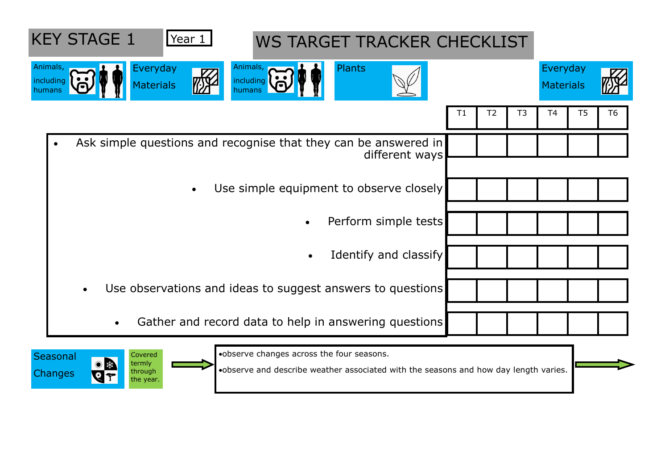| <b>KEY STAGE 1</b><br>Year 1<br><b>WS TARGET TRACKER CHECKLIST</b>                                                                                                                                                                          |    |                |                |                              |                |                |
|---------------------------------------------------------------------------------------------------------------------------------------------------------------------------------------------------------------------------------------------|----|----------------|----------------|------------------------------|----------------|----------------|
| Animals,<br><b>Plants</b><br>Everyday<br>Animals,<br>including<br>including<br><b>Materials</b><br>humans                                                                                                                                   |    |                |                | Everyday<br><b>Materials</b> |                |                |
|                                                                                                                                                                                                                                             | Τ1 | T <sub>2</sub> | T <sub>3</sub> | T4                           | T <sub>5</sub> | T <sub>6</sub> |
| Ask simple questions and recognise that they can be answered in<br>different ways                                                                                                                                                           |    |                |                |                              |                |                |
| Use simple equipment to observe closely<br>$\bullet$                                                                                                                                                                                        |    |                |                |                              |                |                |
| Perform simple tests                                                                                                                                                                                                                        |    |                |                |                              |                |                |
| Identify and classify                                                                                                                                                                                                                       |    |                |                |                              |                |                |
| Use observations and ideas to suggest answers to questions                                                                                                                                                                                  |    |                |                |                              |                |                |
| Gather and record data to help in answering questions<br>$\bullet$                                                                                                                                                                          |    |                |                |                              |                |                |
| .observe changes across the four seasons.<br>Seasonal<br>Covered<br>termly<br>$\mathbb{Q}$ *<br>.observe and describe weather associated with the seasons and how day length varies.<br>through<br><b>Changes</b><br><b>QT</b><br>the year. |    |                |                |                              |                |                |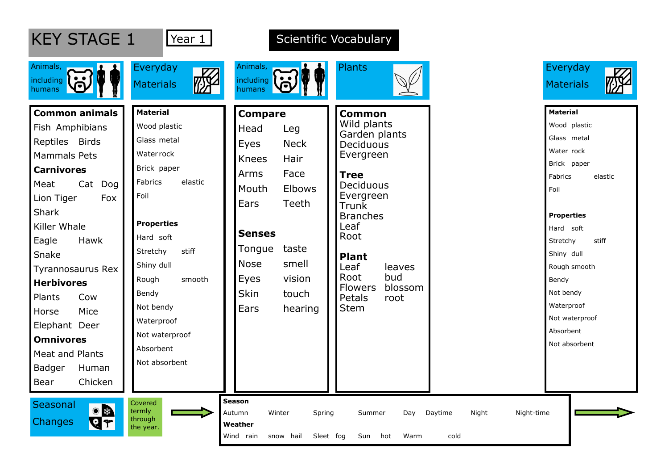# KEY STAGE 1



### Year 1 Scientific Vocabulary

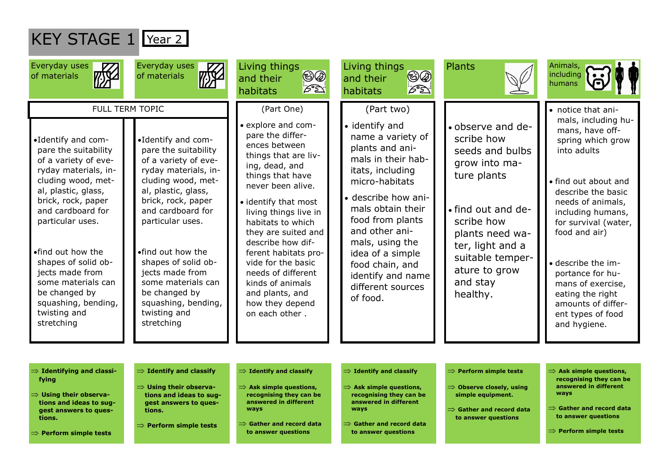| KEY STAGE 1 Year 2                                                                                                                                                                                                                                                                                                                                                |                                                                                                                                                                                                                                                                                                                                                                                             |                                                                                                                                                                                                                                                                                                                                                                                                                            |                                                                                                                                                                                                                                                                                                                                    |                                                                                                                                                                                                                            |                                                                                                                                                                                                                                                                                                                                                                                 |
|-------------------------------------------------------------------------------------------------------------------------------------------------------------------------------------------------------------------------------------------------------------------------------------------------------------------------------------------------------------------|---------------------------------------------------------------------------------------------------------------------------------------------------------------------------------------------------------------------------------------------------------------------------------------------------------------------------------------------------------------------------------------------|----------------------------------------------------------------------------------------------------------------------------------------------------------------------------------------------------------------------------------------------------------------------------------------------------------------------------------------------------------------------------------------------------------------------------|------------------------------------------------------------------------------------------------------------------------------------------------------------------------------------------------------------------------------------------------------------------------------------------------------------------------------------|----------------------------------------------------------------------------------------------------------------------------------------------------------------------------------------------------------------------------|---------------------------------------------------------------------------------------------------------------------------------------------------------------------------------------------------------------------------------------------------------------------------------------------------------------------------------------------------------------------------------|
| Everyday uses<br>WX<br>of materials                                                                                                                                                                                                                                                                                                                               | Everyday uses<br>of materials                                                                                                                                                                                                                                                                                                                                                               | Living things<br>$\circledS$<br>and their<br>ರ್ಶ<br>habitats                                                                                                                                                                                                                                                                                                                                                               | Living things<br>$\circledS$<br>and their<br>FD.<br>habitats                                                                                                                                                                                                                                                                       | Plants                                                                                                                                                                                                                     | Animals,<br>$includeing$ $\overline{\bullet}$<br><b>QV</b><br>humans                                                                                                                                                                                                                                                                                                            |
| •Identify and com-<br>pare the suitability<br>of a variety of eve-<br>ryday materials, in-<br>cluding wood, met-<br>al, plastic, glass,<br>brick, rock, paper<br>and cardboard for<br>particular uses.<br>•find out how the<br>shapes of solid ob-<br>jects made from<br>some materials can<br>be changed by<br>squashing, bending,<br>twisting and<br>stretching | <b>FULL TERM TOPIC</b><br>•Identify and com-<br>pare the suitability<br>of a variety of eve-<br>ryday materials, in-<br>cluding wood, met-<br>al, plastic, glass,<br>brick, rock, paper<br>and cardboard for<br>particular uses.<br>•find out how the<br>shapes of solid ob-<br>jects made from<br>some materials can<br>be changed by<br>squashing, bending,<br>twisting and<br>stretching | (Part One)<br>• explore and com-<br>pare the differ-<br>ences between<br>things that are liv-<br>ing, dead, and<br>things that have<br>never been alive.<br>· identify that most<br>living things live in<br>habitats to which<br>they are suited and<br>describe how dif-<br>ferent habitats pro-<br>vide for the basic<br>needs of different<br>kinds of animals<br>and plants, and<br>how they depend<br>on each other. | (Part two)<br>• identify and<br>name a variety of<br>plants and ani-<br>mals in their hab-<br>itats, including<br>micro-habitats<br>• describe how ani-<br>mals obtain their<br>food from plants<br>and other ani-<br>mals, using the<br>idea of a simple<br>food chain, and<br>identify and name<br>different sources<br>of food. | • observe and de-<br>scribe how<br>seeds and bulbs<br>grow into ma-<br>ture plants<br>• find out and de-<br>scribe how<br>plants need wa-<br>ter, light and a<br>suitable temper-<br>ature to grow<br>and stay<br>healthy. | • notice that ani-<br>mals, including hu-<br>mans, have off-<br>spring which grow<br>into adults<br>• find out about and<br>describe the basic<br>needs of animals,<br>including humans,<br>for survival (water,<br>food and air)<br>• describe the im-<br>portance for hu-<br>mans of exercise,<br>eating the right<br>amounts of differ-<br>ent types of food<br>and hygiene. |
| $\Rightarrow$ Identifying and classi-<br>fying<br>$\Rightarrow$ Using their observa-<br>tions and ideas to sug-<br>gest answers to ques-<br>tions.<br>$\Rightarrow$ Perform simple tests                                                                                                                                                                          | $\Rightarrow$ Identify and classify<br>$\Rightarrow$ Using their observa-<br>tions and ideas to sug-<br>gest answers to ques-<br>tions.<br>$\Rightarrow$ Perform simple tests                                                                                                                                                                                                               | $\Rightarrow$ Identify and classify<br>$\Rightarrow$ Ask simple questions,<br>recognising they can be<br>answered in different<br>ways<br>$\Rightarrow$ Gather and record data<br>to answer questions                                                                                                                                                                                                                      | $\Rightarrow$ Identify and classify<br>$\Rightarrow$ Ask simple questions,<br>recognising they can be<br>answered in different<br>ways<br>$\Rightarrow$ Gather and record data<br>to answer questions                                                                                                                              | $\Rightarrow$ Perform simple tests<br>$\Rightarrow$ Observe closely, using<br>simple equipment.<br>$\Rightarrow$ Gather and record data<br>to answer questions                                                             | $\Rightarrow$ Ask simple questions,<br>recognising they can be<br>answered in different<br>ways<br>$\Rightarrow$ Gather and record data<br>to answer questions<br>$\Rightarrow$ Perform simple tests                                                                                                                                                                            |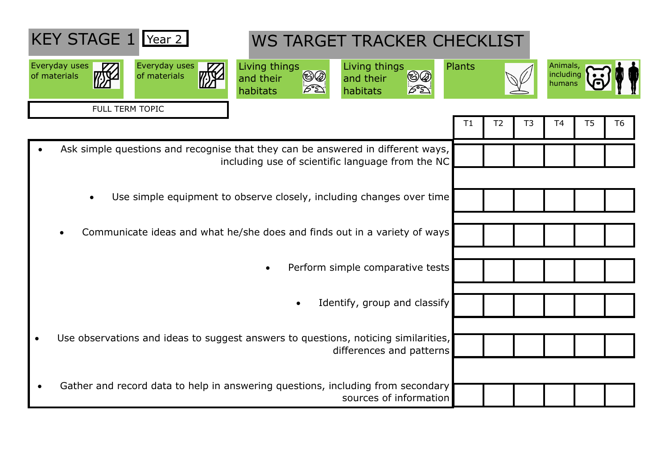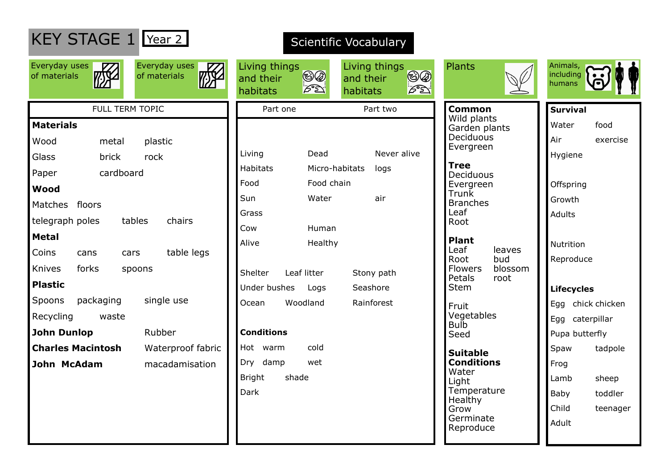| KEY STAGE 1 Year 2<br><b>Scientific Vocabulary</b>                                                                                                                                                                                                                                                                                                                                                                                                      |                                                                                                                                                                                                                                                                                                                                                                            |                                                                                                                                                                                                                                                                                                                                                                                                                                              |                                                                                                                                                                                                                                                                                    |  |  |  |  |
|---------------------------------------------------------------------------------------------------------------------------------------------------------------------------------------------------------------------------------------------------------------------------------------------------------------------------------------------------------------------------------------------------------------------------------------------------------|----------------------------------------------------------------------------------------------------------------------------------------------------------------------------------------------------------------------------------------------------------------------------------------------------------------------------------------------------------------------------|----------------------------------------------------------------------------------------------------------------------------------------------------------------------------------------------------------------------------------------------------------------------------------------------------------------------------------------------------------------------------------------------------------------------------------------------|------------------------------------------------------------------------------------------------------------------------------------------------------------------------------------------------------------------------------------------------------------------------------------|--|--|--|--|
| Everyday uses<br>Everyday uses<br>of materials<br>欧汗<br>of materials                                                                                                                                                                                                                                                                                                                                                                                    | Living things<br>Living things<br>$\circledS$<br>$\circledS$<br>and their<br>and their<br>ಜ್ಞಾ<br>ಿಶ<br>habitats<br>habitats                                                                                                                                                                                                                                               | Plants                                                                                                                                                                                                                                                                                                                                                                                                                                       | Animals,<br>including<br>humans                                                                                                                                                                                                                                                    |  |  |  |  |
| FULL TERM TOPIC                                                                                                                                                                                                                                                                                                                                                                                                                                         | Part two<br>Part one                                                                                                                                                                                                                                                                                                                                                       | <b>Common</b>                                                                                                                                                                                                                                                                                                                                                                                                                                | <b>Survival</b>                                                                                                                                                                                                                                                                    |  |  |  |  |
| <b>Materials</b><br>Wood<br>metal<br>plastic<br>Glass<br>rock<br>brick<br>cardboard<br>Paper<br>Wood<br>Matches floors<br>telegraph poles<br>tables<br>chairs<br><b>Metal</b><br>table legs<br>Coins<br>cans<br>cars<br>Knives<br>forks<br>spoons<br><b>Plastic</b><br>single use<br>packaging<br>Spoons<br>Recycling<br>waste<br>Rubber<br><b>John Dunlop</b><br>Waterproof fabric<br><b>Charles Macintosh</b><br>macadamisation<br><b>John McAdam</b> | Dead<br>Never alive<br>Living<br>Habitats<br>Micro-habitats<br>logs<br>Food<br>Food chain<br>Sun<br>Water<br>air<br>Grass<br>Cow<br>Human<br>Alive<br>Healthy<br>Leaf litter<br>Stony path<br>Shelter<br>Under bushes<br>Seashore<br>Logs<br>Woodland<br>Rainforest<br>Ocean<br><b>Conditions</b><br>cold<br>Hot warm<br>Dry damp<br>wet<br><b>Bright</b><br>shade<br>Dark | Wild plants<br>Garden plants<br><b>Deciduous</b><br>Evergreen<br><b>Tree</b><br><b>Deciduous</b><br>Evergreen<br>Trunk<br><b>Branches</b><br>Leaf<br>Root<br><b>Plant</b><br>Leaf<br>leaves<br>bud<br>Root<br>blossom<br><b>Flowers</b><br>Petals<br>root<br><b>Stem</b><br>Fruit<br>Vegetables<br><b>Bulb</b><br>Seed<br><b>Suitable</b><br><b>Conditions</b><br>Water<br>Light<br>Temperature<br>Healthy<br>Grow<br>Germinate<br>Reproduce | food<br>Water<br>Air<br>exercise<br>Hygiene<br>Offspring<br>Growth<br>Adults<br>Nutrition<br>Reproduce<br><b>Lifecycles</b><br>Egg chick chicken<br>Egg caterpillar<br>Pupa butterfly<br>tadpole<br>Spaw<br>Frog<br>Lamb<br>sheep<br>toddler<br>Baby<br>Child<br>teenager<br>Adult |  |  |  |  |
|                                                                                                                                                                                                                                                                                                                                                                                                                                                         |                                                                                                                                                                                                                                                                                                                                                                            |                                                                                                                                                                                                                                                                                                                                                                                                                                              |                                                                                                                                                                                                                                                                                    |  |  |  |  |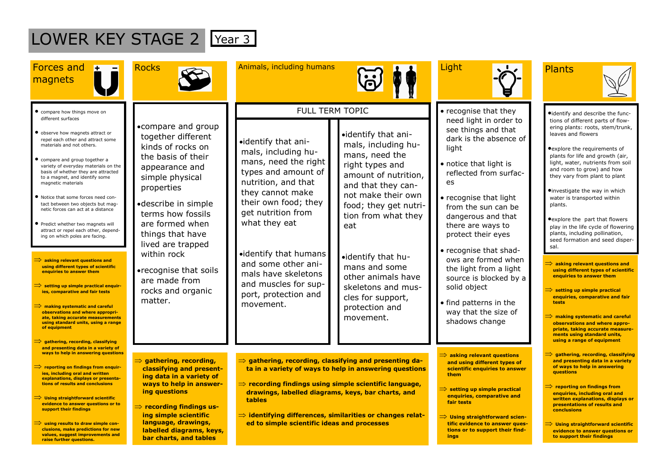# LOWER KEY STAGE 2 Year 3

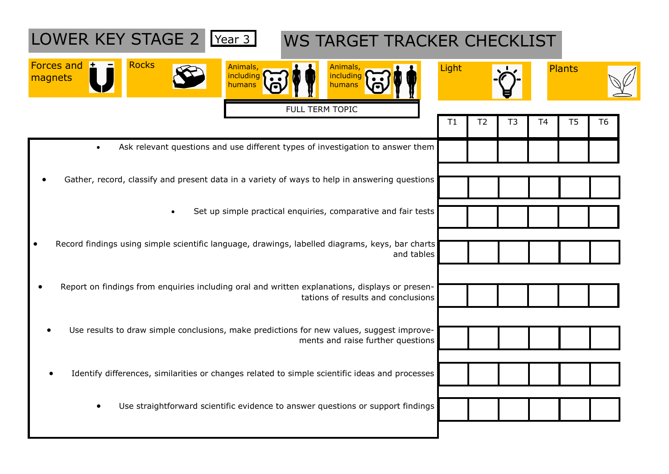## WS TARGET TRACKER CHECKLIST



LOWER KEY STAGE 2

Year 3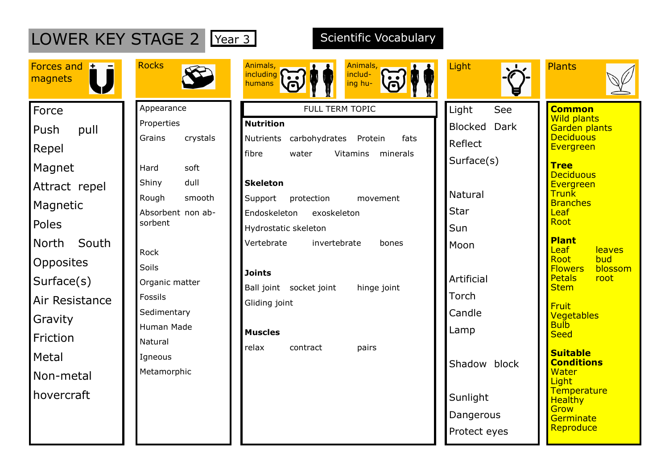# LOWER KEY STAGE 2 Year 3

### Scientific Vocabulary

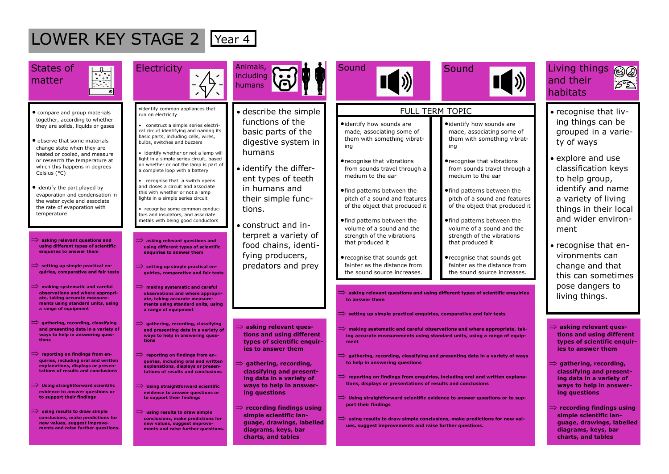# LOWER KEY STAGE 2 Year 4

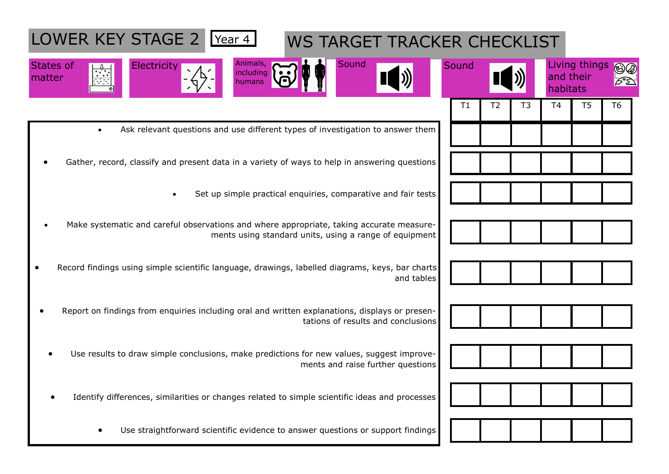# LOWER KEY STAGE 2 Year 4 WS TARGET TRACKER CHECKLIST

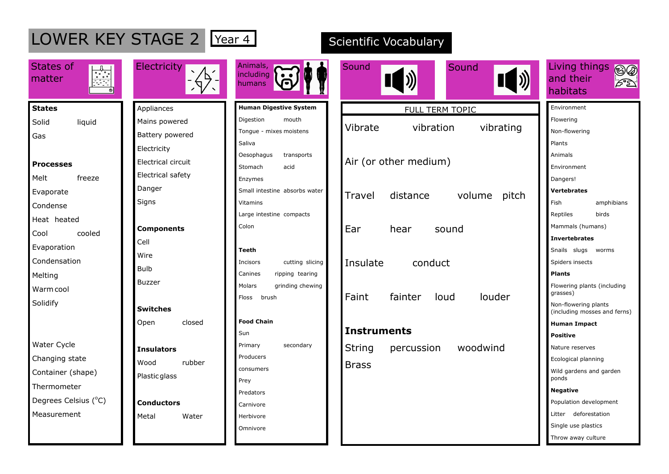# LOWER KEY STAGE 2 Year 4

#### Living things @@ States of Electricity **Animals**, Sound **Sound** including  $\left| \left| \right| \right|$ and their matter humans habitats **Human Digestive System** Environment **States** Appliances FULL TERM TOPICDigestion mouth Flowering Solid liquid Mains powered Vibrate vibration vibrating Tongue - mixes moistens Non-flowering Battery powered Gas Saliva Plants Electricity Oesophagus transports Animals Air (or other medium) Electrical circuit **Processes** Stomach acid Environment Electrical safety Melt freeze Enzymes **Dangers!** Danger Small intestine absorbs water **Vertebrates** Evaporate Travel distance volume pitch Signs Vitamins Fish amphibians Condense Large intestine compacts Reptiles birds Heat heated Colon Mammals (humans) Ear hear sound **Components** Cool cooled **Invertebrates** Cell Evaporation **Teeth** Snails slugs worms Wire Condensation Incisors cutting slicing Spiders insects Insulate conduct Bulb Canines ripping tearing **Plants** Melting Buzzer Flowering plants (including Molars arinding chewing Warm<sub>cool</sub> grasses) Faint fainter loud louder Floss brush Solidify Non-flowering plants **Switches** (including mosses and ferns) **Food Chain** Open closed **Human Impact Instruments** Sun **Positive** Water Cycle Primary secondary String percussion woodwind Nature reserves **Insulators** Producers Changing state Ecological planning Wood rubber **Brass** consumers Wild gardens and garden Container (shape) Plasticglass ponds Prey Thermometer **Negative** Predators Degrees Celsius (°C) **Conductors** Population development Carnivore Measurement Litter deforestation Metal Water Herbivore Single use plastics Omnivore

Scientific Vocabulary

Throw away culture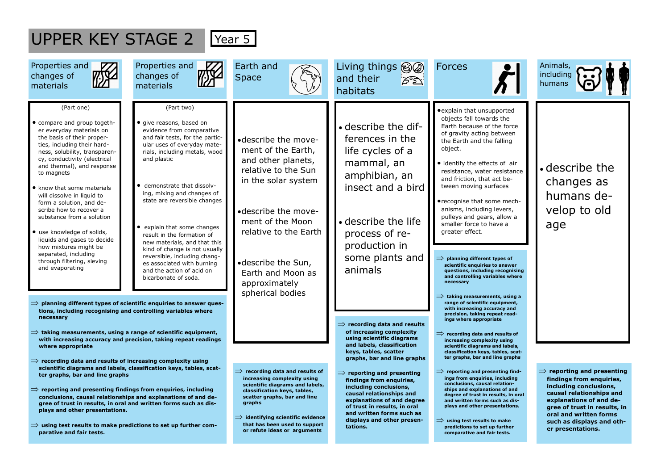#### UPPER KEY STAGE 2 Year 5 Properties and Earth and Animals, Properties and  $\Box$  Properties and  $\Box$  Earth and  $\Box$  Living things  $\circledcirc$  Forces changes of changes of including Space and their ಿತ humans materials materials habitats (Part one) (Part two) •explain that unsupported objects fall towards the • compare and group togeth-• give reasons, based on • describe the dif-Earth because of the force evidence from comparative er everyday materials on of gravity acting between the basis of their properand fair tests, for the particferences in the •describe the movethe Earth and the falling ties, including their hardular uses of everyday mateobject. ment of the Earth, life cycles of a ness, solubility, transparenrials, including metals, wood cy, conductivity (electrical and plastic and other planets, mammal, an • identify the effects of air and thermal), and response • describe the relative to the Sun resistance, water resistance to magnets amphibian, an and friction, that act bein the solar system changes as • demonstrate that dissolvinsect and a bird tween moving surfaces **•** know that some materials ing, mixing and changes of humans dewill dissolve in liquid to state are reversible changes •recognise that some mechform a solution, and develop to old anisms, including levers, scribe how to recover a •describe the movepulleys and gears, allow a substance from a solution • describe the life ment of the Moon smaller force to have a age • explain that some changes relative to the Earth greater effect. • use knowledge of solids, process of reresult in the formation of liquids and gases to decide new materials, and that this production in how mixtures might be kind of change is not usually separated, including reversible, including changsome plants and **planning different types of**  through filtering, sieving •describe the Sun, es associated with burning **scientific enquiries to answer**  and evaporating animals and the action of acid on **questions, including recognising**  Earth and Moon as **and controlling variables where**  bicarbonate of soda. **necessary**  approximately spherical bodies **taking measurements, using a range of scientific equipment, planning different types of scientific enquiries to answer queswith increasing accuracy and tions, including recognising and controlling variables where precision, taking repeat readnecessary ings where appropriate recording data and results taking measurements, using a range of scientific equipment, of increasing complexity recording data and results of using scientific diagrams with increasing accuracy and precision, taking repeat readings increasing complexity using and labels, classification where appropriate scientific diagrams and labels, keys, tables, scatter classification keys, tables, scatter graphs, bar and line graphs graphs, bar and line graphs recording data and results of increasing complexity using scientific diagrams and labels, classification keys, tables, scat reporting and presenting recording data and results of reporting and presenting find reporting and presenting ter graphs, bar and line graphs increasing complexity using ings from enquiries, including findings from enquiries, findings from enquiries, conclusions, causal relationscientific diagrams and labels, including conclusions, including conclusions, reporting and presenting findings from enquiries, including ships and explanations of and classification keys, tables, causal relationships and causal relationships and degree of trust in results, in oral conclusions, causal relationships and explanations of and descatter graphs, bar and line explanations of and degree explanations of and deand written forms such as disgraphs gree of trust in results, in oral and written forms such as displays and other presentations. of trust in results, in oral gree of trust in results, in plays and other presentations. and written forms such as oral and written forms identifying scientific evidence displays and other presen using test results to make such as displays and oththat has been used to support using test results to make predictions to set up further comtations. predictions to set up further er presentations. or refute ideas or arguments parative and fair tests. comparative and fair tests.**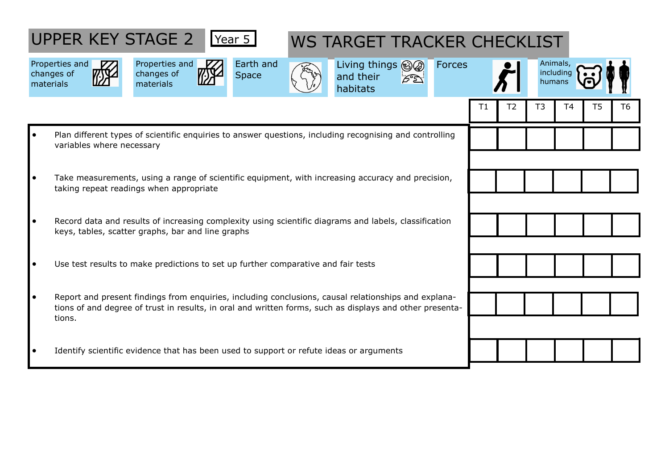# UPPER KEY STAGE 2 Year 5

# WS TARGET TRACKER CHECKLIST

|           | Properties and<br>Properties and<br>Earth and<br>Living things @@<br><b>Forces</b><br>changes of<br>changes of<br>Space<br>and their<br>FD<br>materials<br>materials<br>habitats |    |                |                | Animals,<br>including<br>humans |    |    |
|-----------|----------------------------------------------------------------------------------------------------------------------------------------------------------------------------------|----|----------------|----------------|---------------------------------|----|----|
|           |                                                                                                                                                                                  | T1 | T <sub>2</sub> | T <sub>3</sub> | T <sub>4</sub>                  | T5 | T6 |
|           | Plan different types of scientific enquiries to answer questions, including recognising and controlling<br>variables where necessary                                             |    |                |                |                                 |    |    |
|           |                                                                                                                                                                                  |    |                |                |                                 |    |    |
|           | Take measurements, using a range of scientific equipment, with increasing accuracy and precision,<br>taking repeat readings when appropriate                                     |    |                |                |                                 |    |    |
|           |                                                                                                                                                                                  |    |                |                |                                 |    |    |
|           | Record data and results of increasing complexity using scientific diagrams and labels, classification<br>keys, tables, scatter graphs, bar and line graphs                       |    |                |                |                                 |    |    |
|           |                                                                                                                                                                                  |    |                |                |                                 |    |    |
|           | Use test results to make predictions to set up further comparative and fair tests                                                                                                |    |                |                |                                 |    |    |
| $\bullet$ | Report and present findings from enquiries, including conclusions, causal relationships and explana-                                                                             |    |                |                |                                 |    |    |
|           | tions of and degree of trust in results, in oral and written forms, such as displays and other presenta-<br>tions.                                                               |    |                |                |                                 |    |    |
|           |                                                                                                                                                                                  |    |                |                |                                 |    |    |
|           | Identify scientific evidence that has been used to support or refute ideas or arguments                                                                                          |    |                |                |                                 |    |    |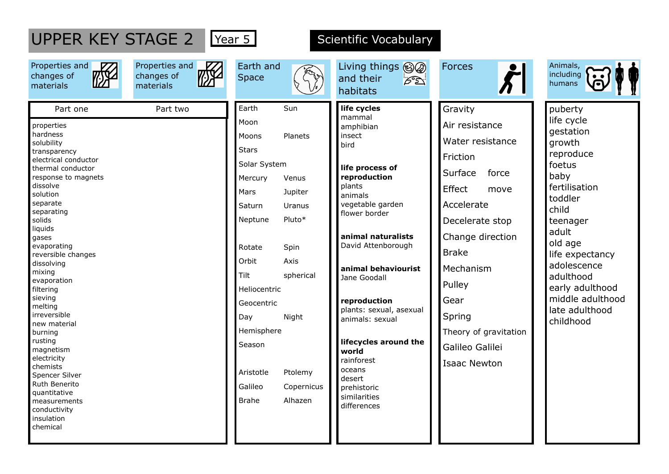# UPPER KEY STAGE 2 Year 5

## Scientific Vocabulary

| Properties and<br>Properties and V<br>WY<br>WY<br>changes of<br>changes of<br>materials<br>materials                                                                                                                                                                                                                                                                                                                                                                                                                                                       | Earth and<br>Space                                                                                                                                                                                                                                                                                                                                                 | Living things @@<br>and their<br>FD<br>habitats                                                                                                                                                                                                                                                                                                                                                                      | Forces                                                                                                                                                                                                                                                                           | Animals,<br>including $\{$<br>humans                                                                                                                                                                                                                                  |
|------------------------------------------------------------------------------------------------------------------------------------------------------------------------------------------------------------------------------------------------------------------------------------------------------------------------------------------------------------------------------------------------------------------------------------------------------------------------------------------------------------------------------------------------------------|--------------------------------------------------------------------------------------------------------------------------------------------------------------------------------------------------------------------------------------------------------------------------------------------------------------------------------------------------------------------|----------------------------------------------------------------------------------------------------------------------------------------------------------------------------------------------------------------------------------------------------------------------------------------------------------------------------------------------------------------------------------------------------------------------|----------------------------------------------------------------------------------------------------------------------------------------------------------------------------------------------------------------------------------------------------------------------------------|-----------------------------------------------------------------------------------------------------------------------------------------------------------------------------------------------------------------------------------------------------------------------|
| Part two<br>Part one<br>properties<br>hardness<br>solubility<br>transparency<br>electrical conductor<br>thermal conductor<br>response to magnets<br>dissolve<br>solution<br>separate<br>separating<br>solids<br>liquids<br>gases<br>evaporating<br>reversible changes<br>dissolving<br>mixing<br>evaporation<br>filtering<br>sieving<br>melting<br>irreversible<br>new material<br>burning<br>rusting<br>magnetism<br>electricity<br>chemists<br>Spencer Silver<br>Ruth Benerito<br>quantitative<br>measurements<br>conductivity<br>insulation<br>chemical | Earth<br>Sun<br>Moon<br>Planets<br>Moons<br><b>Stars</b><br>Solar System<br>Mercury<br>Venus<br>Mars<br>Jupiter<br>Saturn<br>Uranus<br>Pluto*<br>Neptune<br>Rotate<br>Spin<br>Orbit<br>Axis<br>Tilt<br>spherical<br>Heliocentric<br>Geocentric<br>Night<br>Day<br>Hemisphere<br>Season<br>Aristotle<br>Ptolemy<br>Galileo<br>Copernicus<br>Alhazen<br><b>Brahe</b> | life cycles<br>mammal<br>amphibian<br>insect<br>bird<br>life process of<br>reproduction<br>plants<br>animals<br>vegetable garden<br>flower border<br>animal naturalists<br>David Attenborough<br>animal behaviourist<br>Jane Goodall<br>reproduction<br>plants: sexual, asexual<br>animals: sexual<br>lifecycles around the<br>world<br>rainforest<br>oceans<br>desert<br>prehistoric<br>similarities<br>differences | Gravity<br>Air resistance<br>Water resistance<br>Friction<br>Surface<br>force<br>Effect<br>move<br>Accelerate<br>Decelerate stop<br>Change direction<br><b>Brake</b><br>Mechanism<br>Pulley<br>Gear<br>Spring<br>Theory of gravitation<br>Galileo Galilei<br><b>Isaac Newton</b> | puberty<br>life cycle<br>gestation<br>growth<br>reproduce<br>foetus<br>baby<br>fertilisation<br>toddler<br>child<br>teenager<br>adult<br>old age<br>life expectancy<br>adolescence<br>adulthood<br>early adulthood<br>middle adulthood<br>late adulthood<br>childhood |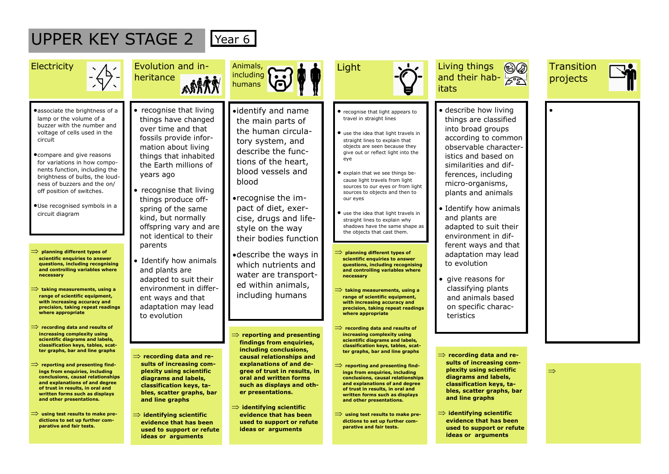# UPPER KEY STAGE 2 Year 6

| Electricity                                                                                                                                                                                                                                                                                                                                                                                                                                                                                                                                                                                                                         | Evolution and in-<br>heritance<br><b>RRRRA</b>                                                                                                                                                                                                                                                                                                                                                                                                                        | Animals,<br>including $\overline{\bullet}$<br>humans                                                                                                                                                                                                                                                                                                                                              | Light                                                                                                                                                                                                                                                                                                                                                                                                                                                                                                                                                                                                                                                                                                                                                                       | Living things<br>Living things $\bigotimes_{\mathcal{B}}$<br>and their hab-<br><b>itats</b>                                                                                                                                                                                                                                                                                                                                                                      | <b>Transition</b><br>projects |
|-------------------------------------------------------------------------------------------------------------------------------------------------------------------------------------------------------------------------------------------------------------------------------------------------------------------------------------------------------------------------------------------------------------------------------------------------------------------------------------------------------------------------------------------------------------------------------------------------------------------------------------|-----------------------------------------------------------------------------------------------------------------------------------------------------------------------------------------------------------------------------------------------------------------------------------------------------------------------------------------------------------------------------------------------------------------------------------------------------------------------|---------------------------------------------------------------------------------------------------------------------------------------------------------------------------------------------------------------------------------------------------------------------------------------------------------------------------------------------------------------------------------------------------|-----------------------------------------------------------------------------------------------------------------------------------------------------------------------------------------------------------------------------------------------------------------------------------------------------------------------------------------------------------------------------------------------------------------------------------------------------------------------------------------------------------------------------------------------------------------------------------------------------------------------------------------------------------------------------------------------------------------------------------------------------------------------------|------------------------------------------------------------------------------------------------------------------------------------------------------------------------------------------------------------------------------------------------------------------------------------------------------------------------------------------------------------------------------------------------------------------------------------------------------------------|-------------------------------|
| •associate the brightness of a<br>lamp or the volume of a<br>buzzer with the number and<br>voltage of cells used in the<br>circuit<br>compare and give reasons<br>for variations in how compo-<br>nents function, including the<br>brightness of bulbs, the loud-<br>ness of buzzers and the on/<br>off position of switches.<br>·Use recognised symbols in a<br>circuit diagram<br>$\Rightarrow$ planning different types of<br>scientific enquiries to answer<br>questions, including recognising<br>and controlling variables where<br>necessary<br>$\Rightarrow$ taking measurements, using a<br>range of scientific equipment, | • recognise that living<br>things have changed<br>over time and that<br>fossils provide infor-<br>mation about living<br>things that inhabited<br>the Earth millions of<br>years ago<br>• recognise that living<br>things produce off-<br>spring of the same<br>kind, but normally<br>offspring vary and are<br>not identical to their<br>parents<br>• Identify how animals<br>and plants are<br>adapted to suit their<br>environment in differ-<br>ent ways and that | •identify and name<br>the main parts of<br>the human circula-<br>tory system, and<br>describe the func-<br>tions of the heart,<br>blood vessels and<br>blood<br>•recognise the im-<br>pact of diet, exer-<br>cise, drugs and life-<br>style on the way<br>their bodies function<br>·describe the ways in<br>which nutrients and<br>water are transport-<br>ed within animals,<br>including humans | • recognise that light appears to<br>travel in straight lines<br>• use the idea that light travels in<br>straight lines to explain that<br>objects are seen because they<br>give out or reflect light into the<br>eye<br>• explain that we see things be-<br>cause light travels from light<br>sources to our eyes or from light<br>sources to objects and then to<br>our eyes<br>• use the idea that light travels in<br>straight lines to explain why<br>shadows have the same shape as<br>the objects that cast them.<br>$\Rightarrow$ planning different types of<br>scientific enquiries to answer<br>questions, including recognising<br>and controlling variables where<br>necessary<br>$\Rightarrow$ taking measurements, using a<br>range of scientific equipment, | · describe how living<br>things are classified<br>into broad groups<br>according to common<br>observable character-<br>istics and based on<br>similarities and dif-<br>ferences, including<br>micro-organisms,<br>plants and animals<br>· Identify how animals<br>and plants are<br>adapted to suit their<br>environment in dif-<br>ferent ways and that<br>adaptation may lead<br>to evolution<br>• give reasons for<br>classifying plants<br>and animals based |                               |
| with increasing accuracy and<br>precision, taking repeat readings<br>where appropriate<br>$\Rightarrow$ recording data and results of<br>increasing complexity using<br>scientific diagrams and labels,                                                                                                                                                                                                                                                                                                                                                                                                                             | adaptation may lead<br>to evolution                                                                                                                                                                                                                                                                                                                                                                                                                                   | $\Rightarrow$ reporting and presenting                                                                                                                                                                                                                                                                                                                                                            | with increasing accuracy and<br>precision, taking repeat readings<br>where appropriate<br>$\Rightarrow$ recording data and results of<br>increasing complexity using<br>scientific diagrams and labels,                                                                                                                                                                                                                                                                                                                                                                                                                                                                                                                                                                     | on specific charac-<br>teristics                                                                                                                                                                                                                                                                                                                                                                                                                                 |                               |
| classification keys, tables, scat-<br>ter graphs, bar and line graphs<br>$\Rightarrow$ reporting and presenting find-<br>ings from enquiries, including<br>conclusions, causal relationships<br>and explanations of and degree<br>of trust in results, in oral and                                                                                                                                                                                                                                                                                                                                                                  | $\Rightarrow$ recording data and re-<br>sults of increasing com-<br>plexity using scientific<br>diagrams and labels,<br>classification keys, ta-                                                                                                                                                                                                                                                                                                                      | findings from enquiries,<br>including conclusions,<br>causal relationships and<br>explanations of and de-<br>gree of trust in results, in<br>oral and written forms<br>such as displays and oth-                                                                                                                                                                                                  | classification keys, tables, scat-<br>ter graphs, bar and line graphs<br>$\Rightarrow$ reporting and presenting find-<br>ings from enquiries, including<br>conclusions, causal relationships<br>and explanations of and degree<br>of trust in results, in oral and                                                                                                                                                                                                                                                                                                                                                                                                                                                                                                          | $\Rightarrow$ recording data and re-<br>sults of increasing com-<br>plexity using scientific<br>diagrams and labels,<br>classification keys, ta-                                                                                                                                                                                                                                                                                                                 | $\Rightarrow$                 |
| written forms such as displays<br>and other presentations.<br>$\Rightarrow$ using test results to make pre-<br>dictions to set up further com-<br>parative and fair tests.                                                                                                                                                                                                                                                                                                                                                                                                                                                          | bles, scatter graphs, bar<br>and line graphs<br>$\Rightarrow$ identifying scientific<br>evidence that has been<br>used to support or refute<br>ideas or arguments                                                                                                                                                                                                                                                                                                     | er presentations.<br>$\Rightarrow$ identifying scientific<br>evidence that has been<br>used to support or refute<br>ideas or arguments                                                                                                                                                                                                                                                            | written forms such as displays<br>and other presentations.<br>$\Rightarrow$ using test results to make pre-<br>dictions to set up further com-<br>parative and fair tests.                                                                                                                                                                                                                                                                                                                                                                                                                                                                                                                                                                                                  | bles, scatter graphs, bar<br>and line graphs<br>$\Rightarrow$ identifying scientific<br>evidence that has been<br>used to support or refute<br>ideas or arguments                                                                                                                                                                                                                                                                                                |                               |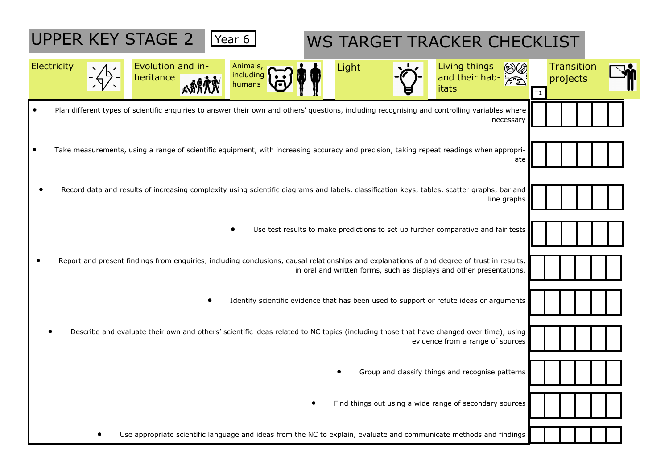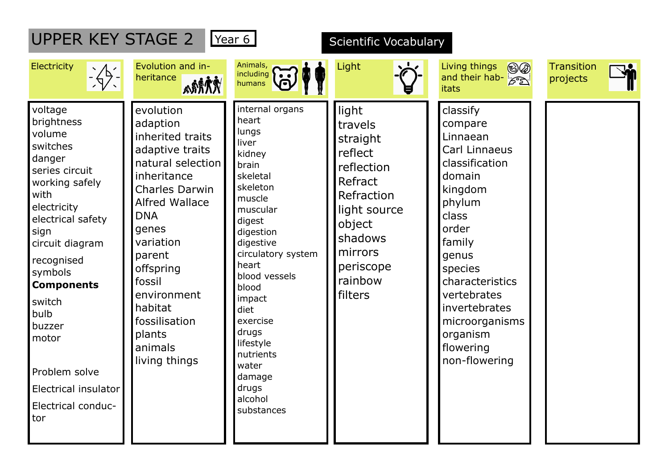|                                                                                                                                                                                                                                                                                                                           | UPPER KEY STAGE 2   Year 6                                                                                                                                                                                                                                                                               |                                                                                                                                                                                                                                                                                                                                | <b>Scientific Vocabulary</b>                                                                                                                                      |                                                                                                                                                                                                                                                                  |                               |
|---------------------------------------------------------------------------------------------------------------------------------------------------------------------------------------------------------------------------------------------------------------------------------------------------------------------------|----------------------------------------------------------------------------------------------------------------------------------------------------------------------------------------------------------------------------------------------------------------------------------------------------------|--------------------------------------------------------------------------------------------------------------------------------------------------------------------------------------------------------------------------------------------------------------------------------------------------------------------------------|-------------------------------------------------------------------------------------------------------------------------------------------------------------------|------------------------------------------------------------------------------------------------------------------------------------------------------------------------------------------------------------------------------------------------------------------|-------------------------------|
| Electricity                                                                                                                                                                                                                                                                                                               | Evolution and in-<br>heritance<br><b>RRARA</b>                                                                                                                                                                                                                                                           | Animals,                                                                                                                                                                                                                                                                                                                       | Light                                                                                                                                                             | Living things<br>$\circledcirc$<br>and their hab-<br><b>itats</b>                                                                                                                                                                                                | <b>Transition</b><br>projects |
| voltage<br>brightness<br>volume<br>switches<br>danger<br>series circuit<br>working safely<br>with<br>electricity<br>electrical safety<br>sign<br>circuit diagram<br>recognised<br>symbols<br><b>Components</b><br>switch<br>bulb<br>buzzer<br>motor<br>Problem solve<br>Electrical insulator<br>Electrical conduc-<br>tor | evolution<br>adaption<br>inherited traits<br>adaptive traits<br>natural selection<br>inheritance<br><b>Charles Darwin</b><br><b>Alfred Wallace</b><br><b>DNA</b><br>genes<br>variation<br>parent<br>offspring<br>fossil<br>environment<br>habitat<br>fossilisation<br>plants<br>animals<br>living things | internal organs<br>heart<br>lungs<br>liver<br>kidney<br>brain<br>skeletal<br>skeleton<br>muscle<br>muscular<br>digest<br>digestion<br>digestive<br>circulatory system<br>heart<br>blood vessels<br>blood<br>impact<br>diet<br>exercise<br>drugs<br>lifestyle<br>nutrients<br>water<br>damage<br>drugs<br>alcohol<br>substances | light<br>travels<br>straight<br>reflect<br>reflection<br>Refract<br>Refraction<br>light source<br>object<br>shadows<br>mirrors<br>periscope<br>rainbow<br>filters | classify<br>compare<br>Linnaean<br>Carl Linnaeus<br>classification<br>domain<br>kingdom<br>phylum<br>class<br>order<br>family<br>genus<br>species<br>characteristics<br>vertebrates<br>invertebrates<br>microorganisms<br>organism<br>flowering<br>non-flowering |                               |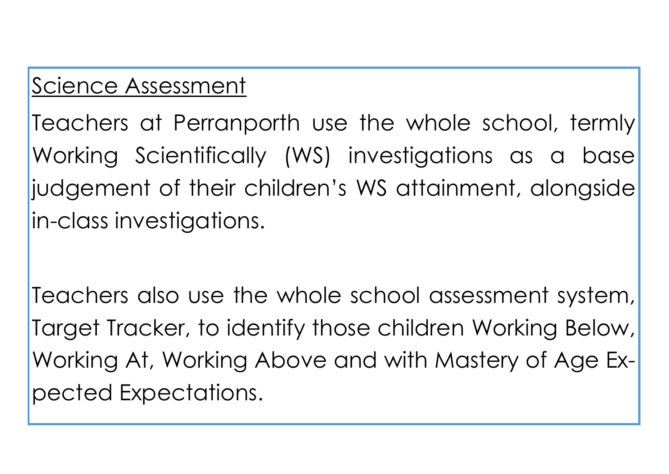# Science Assessment

Teachers at Perranporth use the whole school, termly Working Scientifically (WS) investigations as a base judgement of their children's WS attainment, alongside in-class investigations.

Teachers also use the whole school assessment system, Target Tracker, to identify those children Working Below, Working At, Working Above and with Mastery of Age Expected Expectations.